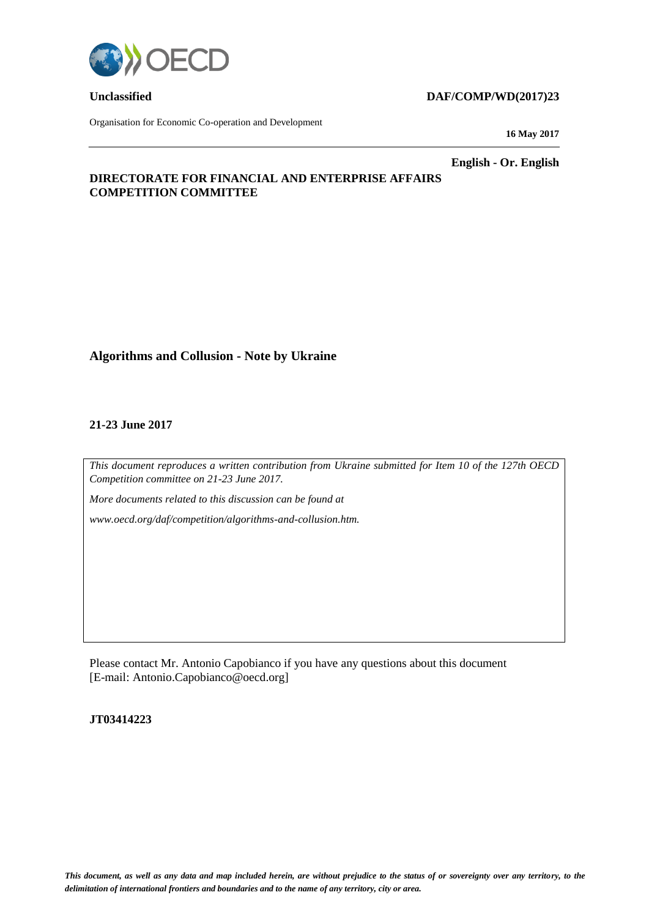

Organisation for Economic Co-operation and Development

# **Unclassified DAF/COMP/WD(2017)23**

**16 May 2017**

**English - Or. English**

# **DIRECTORATE FOR FINANCIAL AND ENTERPRISE AFFAIRS COMPETITION COMMITTEE**

# **Algorithms and Collusion - Note by Ukraine**

## **21-23 June 2017**

*This document reproduces a written contribution from Ukraine submitted for Item 10 of the 127th OECD Competition committee on 21-23 June 2017.*

*More documents related to this discussion can be found at* 

*www.oecd.org/daf/competition/algorithms-and-collusion.htm.*

Please contact Mr. Antonio Capobianco if you have any questions about this document [E-mail: Antonio.Capobianco@oecd.org]

## **JT03414223**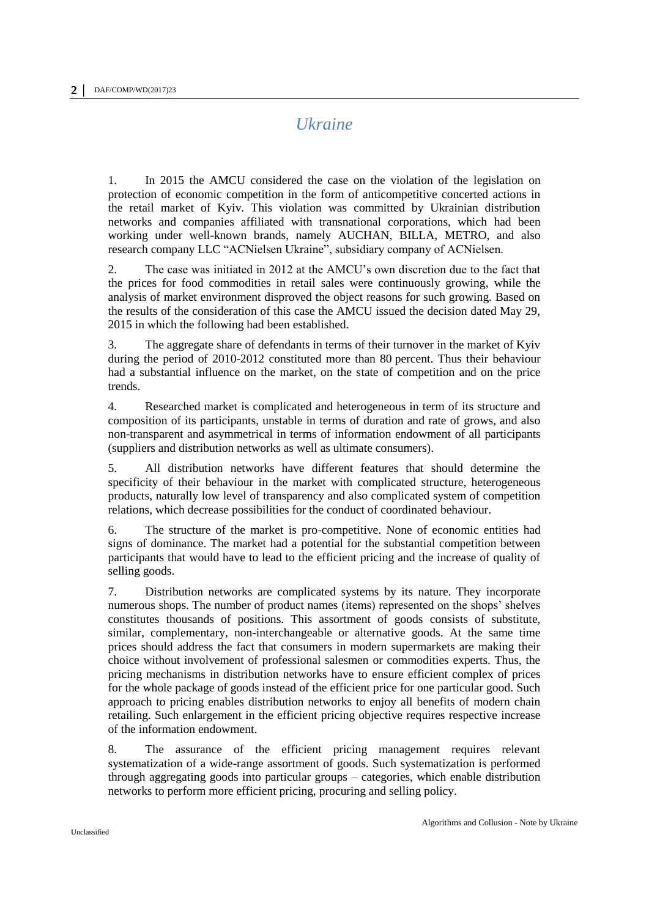# *Ukraine*

1. In 2015 the AMCU considered the case on the violation of the legislation on protection of economic competition in the form of anticompetitive concerted actions in the retail market of Kyiv. This violation was committed by Ukrainian distribution networks and companies affiliated with transnational corporations, which had been working under well-known brands, namely AUCHAN, BILLA, METRO, and also research company LLC "ACNielsen Ukraine", subsidiary company of ACNielsen.

2. The case was initiated in 2012 at the AMCU's own discretion due to the fact that the prices for food commodities in retail sales were continuously growing, while the analysis of market environment disproved the object reasons for such growing. Based on the results of the consideration of this case the AMCU issued the decision dated May 29, 2015 in which the following had been established.

3. The aggregate share of defendants in terms of their turnover in the market of Kyiv during the period of 2010-2012 constituted more than 80 percent. Thus their behaviour had a substantial influence on the market, on the state of competition and on the price trends.

4. Researched market is complicated and heterogeneous in term of its structure and composition of its participants, unstable in terms of duration and rate of grows, and also non-transparent and asymmetrical in terms of information endowment of all participants (suppliers and distribution networks as well as ultimate consumers).

5. All distribution networks have different features that should determine the specificity of their behaviour in the market with complicated structure, heterogeneous products, naturally low level of transparency and also complicated system of competition relations, which decrease possibilities for the conduct of coordinated behaviour.

6. The structure of the market is pro-competitive. None of economic entities had signs of dominance. The market had a potential for the substantial competition between participants that would have to lead to the efficient pricing and the increase of quality of selling goods.

7. Distribution networks are complicated systems by its nature. They incorporate numerous shops. The number of product names (items) represented on the shops' shelves constitutes thousands of positions. This assortment of goods consists of substitute, similar, complementary, non-interchangeable or alternative goods. At the same time prices should address the fact that consumers in modern supermarkets are making their choice without involvement of professional salesmen or commodities experts. Thus, the pricing mechanisms in distribution networks have to ensure efficient complex of prices for the whole package of goods instead of the efficient price for one particular good. Such approach to pricing enables distribution networks to enjoy all benefits of modern chain retailing. Such enlargement in the efficient pricing objective requires respective increase of the information endowment.

8. The assurance of the efficient pricing management requires relevant systematization of a wide-range assortment of goods. Such systematization is performed through aggregating goods into particular groups – categories, which enable distribution networks to perform more efficient pricing, procuring and selling policy.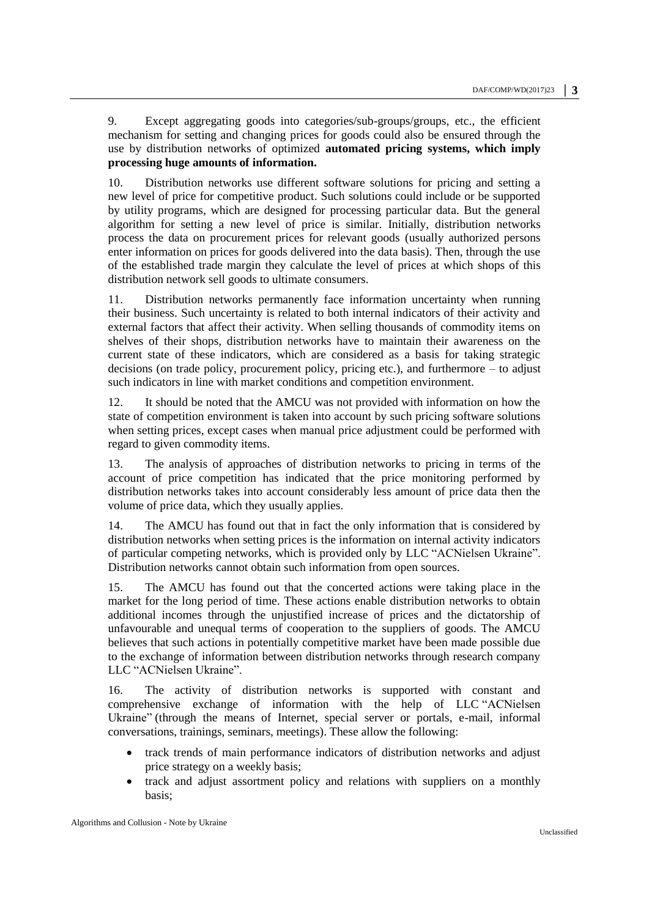9. Except aggregating goods into categories/sub-groups/groups, etc., the efficient mechanism for setting and changing prices for goods could also be ensured through the use by distribution networks of optimized **automated pricing systems, which imply processing huge amounts of information.**

10. Distribution networks use different software solutions for pricing and setting a new level of price for competitive product. Such solutions could include or be supported by utility programs, which are designed for processing particular data. But the general algorithm for setting a new level of price is similar. Initially, distribution networks process the data on procurement prices for relevant goods (usually authorized persons enter information on prices for goods delivered into the data basis). Then, through the use of the established trade margin they calculate the level of prices at which shops of this distribution network sell goods to ultimate consumers.

11. Distribution networks permanently face information uncertainty when running their business. Such uncertainty is related to both internal indicators of their activity and external factors that affect their activity. When selling thousands of commodity items on shelves of their shops, distribution networks have to maintain their awareness on the current state of these indicators, which are considered as a basis for taking strategic decisions (on trade policy, procurement policy, pricing etc.), and furthermore – to adjust such indicators in line with market conditions and competition environment.

12. It should be noted that the AMCU was not provided with information on how the state of competition environment is taken into account by such pricing software solutions when setting prices, except cases when manual price adjustment could be performed with regard to given commodity items.

13. The analysis of approaches of distribution networks to pricing in terms of the account of price competition has indicated that the price monitoring performed by distribution networks takes into account considerably less amount of price data then the volume of price data, which they usually applies.

14. The AMCU has found out that in fact the only information that is considered by distribution networks when setting prices is the information on internal activity indicators of particular competing networks, which is provided only by LLC "ACNielsen Ukraine". Distribution networks cannot obtain such information from open sources.

15. The AMCU has found out that the concerted actions were taking place in the market for the long period of time. These actions enable distribution networks to obtain additional incomes through the unjustified increase of prices and the dictatorship of unfavourable and unequal terms of cooperation to the suppliers of goods. The AMCU believes that such actions in potentially competitive market have been made possible due to the exchange of information between distribution networks through research company LLC "ACNielsen Ukraine".

16. The activity of distribution networks is supported with constant and comprehensive exchange of information with the help of LLC "ACNielsen Ukraine" (through the means of Internet, special server or portals, e-mail, informal conversations, trainings, seminars, meetings). These allow the following:

- track trends of main performance indicators of distribution networks and adjust price strategy on a weekly basis;
- track and adjust assortment policy and relations with suppliers on a monthly basis;